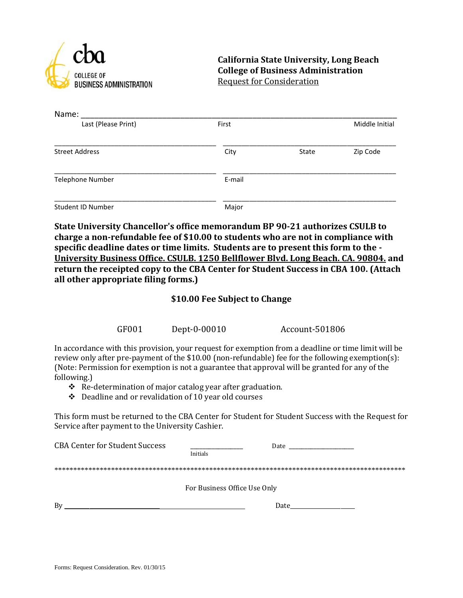

**California State University, Long Beach College of Business Administration** Request for Consideration

| Name:                    |        |       |                |
|--------------------------|--------|-------|----------------|
| Last (Please Print)      | First  |       | Middle Initial |
| <b>Street Address</b>    | City   | State | Zip Code       |
| <b>Telephone Number</b>  | E-mail |       |                |
| <b>Student ID Number</b> | Major  |       |                |

**State University Chancellor's office memorandum BP 90-21 authorizes CSULB to charge a non-refundable fee of \$10.00 to students who are not in compliance with specific deadline dates or time limits. Students are to present this form to the - University Business Office. CSULB. 1250 Bellflower Blvd. Long Beach. CA. 90804. and return the receipted copy to the CBA Center for Student Success in CBA 100. (Attach all other appropriate filing forms.)**

## **\$10.00 Fee Subject to Change**

GF001 Dept-0-00010 Account-501806

In accordance with this provision, your request for exemption from a deadline or time limit will be review only after pre-payment of the \$10.00 (non-refundable) fee for the following exemption(s): (Note: Permission for exemption is not a guarantee that approval will be granted for any of the following.)

- \* Re-determination of major catalog year after graduation.
- $\div$  Deadline and or revalidation of 10 year old courses

This form must be returned to the CBA Center for Student for Student Success with the Request for Service after payment to the University Cashier.

| <b>CBA Center for Student Success</b> | Date<br><u> 1989 - Johann Barn, mars ann an t-Amhair an t-A</u> |  |
|---------------------------------------|-----------------------------------------------------------------|--|
|                                       | Initials                                                        |  |
|                                       |                                                                 |  |
|                                       | For Business Office Use Only                                    |  |
| Bv                                    | Date                                                            |  |